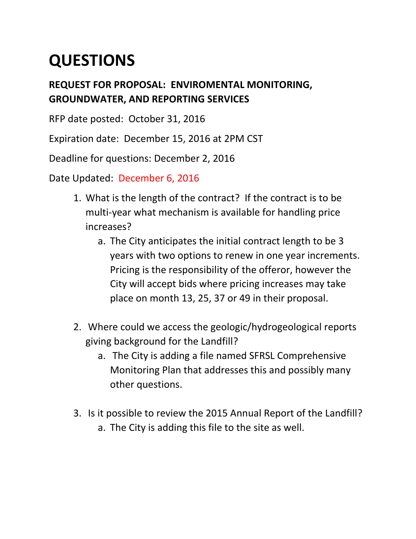## **QUESTIONS**

## **REQUEST FOR PROPOSAL: ENVIROMENTAL MONITORING, GROUNDWATER, AND REPORTING SERVICES**

RFP date posted: October 31, 2016

Expiration date: December 15, 2016 at 2PM CST

Deadline for questions: December 2, 2016

Date Updated: December 6, 2016

- 1. What is the length of the contract? If the contract is to be multi-year what mechanism is available for handling price increases?
	- a. The City anticipates the initial contract length to be 3 years with two options to renew in one year increments. Pricing is the responsibility of the offeror, however the City will accept bids where pricing increases may take place on month 13, 25, 37 or 49 in their proposal.
- 2. Where could we access the geologic/hydrogeological reports giving background for the Landfill?
	- a. The City is adding a file named SFRSL Comprehensive Monitoring Plan that addresses this and possibly many other questions.
- 3. Is it possible to review the 2015 Annual Report of the Landfill? a. The City is adding this file to the site as well.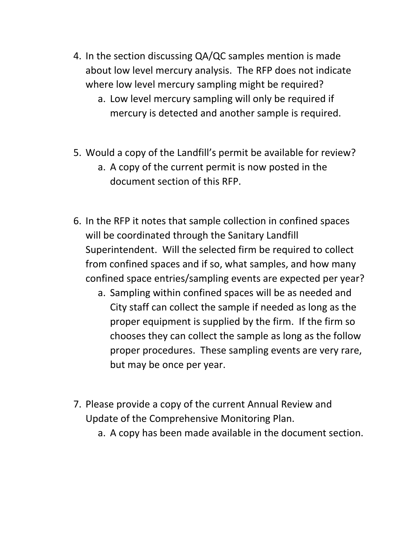- 4. In the section discussing QA/QC samples mention is made about low level mercury analysis. The RFP does not indicate where low level mercury sampling might be required?
	- a. Low level mercury sampling will only be required if mercury is detected and another sample is required.
- 5. Would a copy of the Landfill's permit be available for review?
	- a. A copy of the current permit is now posted in the document section of this RFP.
- 6. In the RFP it notes that sample collection in confined spaces will be coordinated through the Sanitary Landfill Superintendent. Will the selected firm be required to collect from confined spaces and if so, what samples, and how many confined space entries/sampling events are expected per year?
	- a. Sampling within confined spaces will be as needed and City staff can collect the sample if needed as long as the proper equipment is supplied by the firm. If the firm so chooses they can collect the sample as long as the follow proper procedures. These sampling events are very rare, but may be once per year.
- 7. Please provide a copy of the current Annual Review and Update of the Comprehensive Monitoring Plan.
	- a. A copy has been made available in the document section.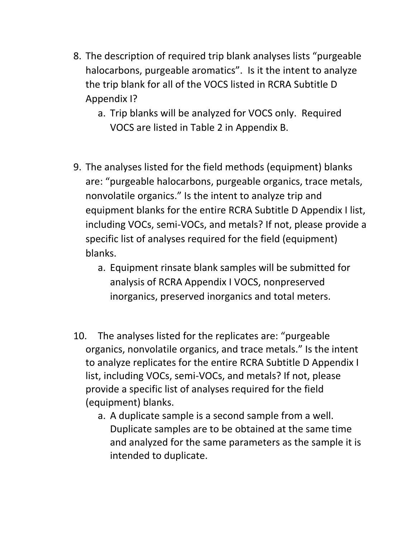- 8. The description of required trip blank analyses lists "purgeable halocarbons, purgeable aromatics". Is it the intent to analyze the trip blank for all of the VOCS listed in RCRA Subtitle D Appendix I?
	- a. Trip blanks will be analyzed for VOCS only. Required VOCS are listed in Table 2 in Appendix B.
- 9. The analyses listed for the field methods (equipment) blanks are: "purgeable halocarbons, purgeable organics, trace metals, nonvolatile organics." Is the intent to analyze trip and equipment blanks for the entire RCRA Subtitle D Appendix I list, including VOCs, semi-VOCs, and metals? If not, please provide a specific list of analyses required for the field (equipment) blanks.
	- a. Equipment rinsate blank samples will be submitted for analysis of RCRA Appendix I VOCS, nonpreserved inorganics, preserved inorganics and total meters.
- 10. The analyses listed for the replicates are: "purgeable organics, nonvolatile organics, and trace metals." Is the intent to analyze replicates for the entire RCRA Subtitle D Appendix I list, including VOCs, semi-VOCs, and metals? If not, please provide a specific list of analyses required for the field (equipment) blanks.
	- a. A duplicate sample is a second sample from a well. Duplicate samples are to be obtained at the same time and analyzed for the same parameters as the sample it is intended to duplicate.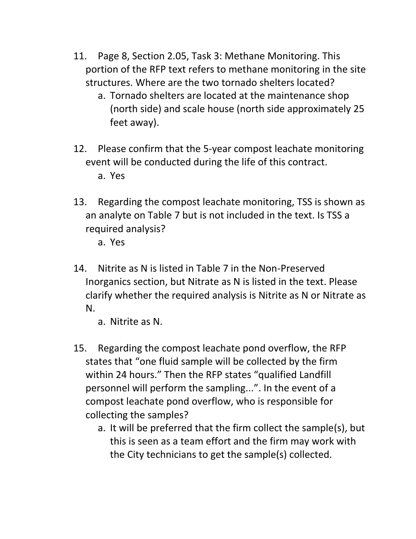- 11. Page 8, Section 2.05, Task 3: Methane Monitoring. This portion of the RFP text refers to methane monitoring in the site structures. Where are the two tornado shelters located?
	- a. Tornado shelters are located at the maintenance shop (north side) and scale house (north side approximately 25 feet away).
- 12. Please confirm that the 5-year compost leachate monitoring event will be conducted during the life of this contract. a. Yes
- 13. Regarding the compost leachate monitoring, TSS is shown as an analyte on Table 7 but is not included in the text. Is TSS a required analysis?

a. Yes

14. Nitrite as N is listed in Table 7 in the Non-Preserved Inorganics section, but Nitrate as N is listed in the text. Please clarify whether the required analysis is Nitrite as N or Nitrate as N.

a. Nitrite as N.

- 15. Regarding the compost leachate pond overflow, the RFP states that "one fluid sample will be collected by the firm within 24 hours." Then the RFP states "qualified Landfill personnel will perform the sampling...". In the event of a compost leachate pond overflow, who is responsible for collecting the samples?
	- a. It will be preferred that the firm collect the sample(s), but this is seen as a team effort and the firm may work with the City technicians to get the sample(s) collected.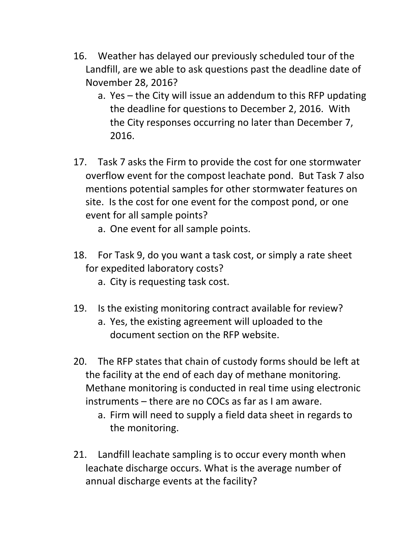- 16. Weather has delayed our previously scheduled tour of the Landfill, are we able to ask questions past the deadline date of November 28, 2016?
	- a. Yes the City will issue an addendum to this RFP updating the deadline for questions to December 2, 2016. With the City responses occurring no later than December 7, 2016.
- 17. Task 7 asks the Firm to provide the cost for one stormwater overflow event for the compost leachate pond. But Task 7 also mentions potential samples for other stormwater features on site. Is the cost for one event for the compost pond, or one event for all sample points?
	- a. One event for all sample points.
- 18. For Task 9, do you want a task cost, or simply a rate sheet for expedited laboratory costs?
	- a. City is requesting task cost.
- 19. Is the existing monitoring contract available for review?
	- a. Yes, the existing agreement will uploaded to the document section on the RFP website.
- 20. The RFP states that chain of custody forms should be left at the facility at the end of each day of methane monitoring. Methane monitoring is conducted in real time using electronic instruments – there are no COCs as far as I am aware.
	- a. Firm will need to supply a field data sheet in regards to the monitoring.
- 21. Landfill leachate sampling is to occur every month when leachate discharge occurs. What is the average number of annual discharge events at the facility?